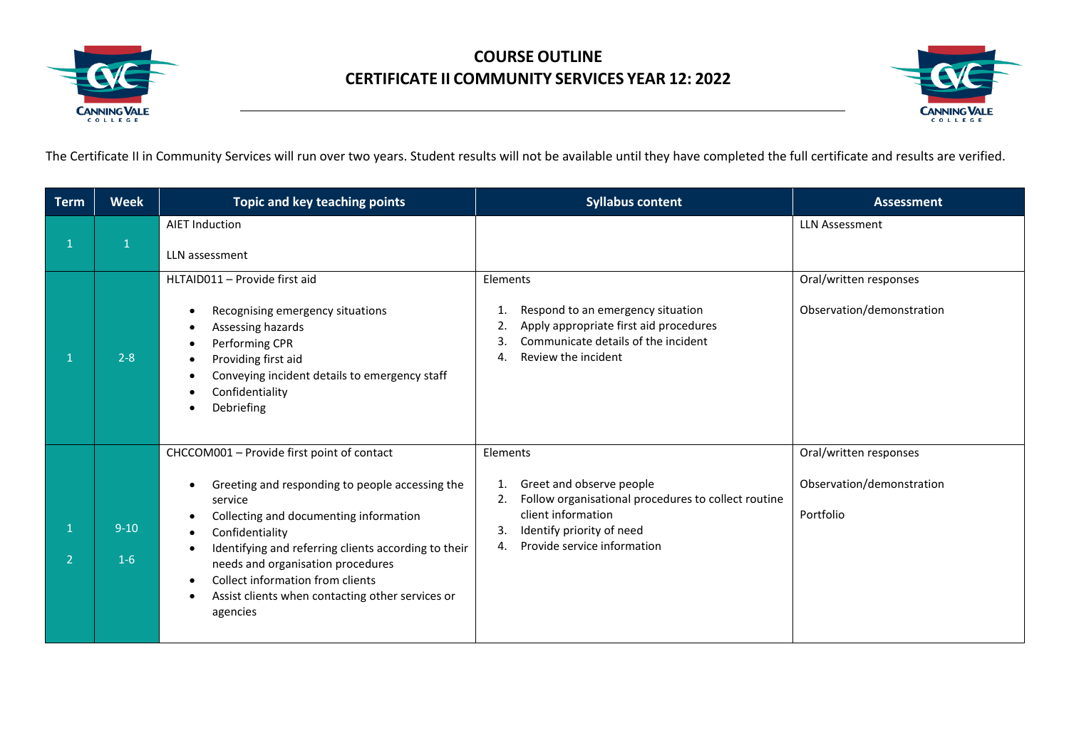

## **COURSE OUTLINE CERTIFICATE II COMMUNITY SERVICES YEAR 12: 2022**



The Certificate II in Community Services will run over two years. Student results will not be available until they have completed the full certificate and results are verified.

| <b>Term</b>  | <b>Week</b>       | Topic and key teaching points                                                                                                                                                                                                                                                                                                                                                                         | <b>Syllabus content</b>                                                                                                                                                                               | <b>Assessment</b>                                                |
|--------------|-------------------|-------------------------------------------------------------------------------------------------------------------------------------------------------------------------------------------------------------------------------------------------------------------------------------------------------------------------------------------------------------------------------------------------------|-------------------------------------------------------------------------------------------------------------------------------------------------------------------------------------------------------|------------------------------------------------------------------|
| $\mathbf{1}$ |                   | <b>AIET Induction</b><br>LLN assessment                                                                                                                                                                                                                                                                                                                                                               |                                                                                                                                                                                                       | <b>LLN Assessment</b>                                            |
|              | $2 - 8$           | HLTAID011 - Provide first aid<br>Recognising emergency situations<br>$\bullet$<br>Assessing hazards<br>Performing CPR<br>$\bullet$<br>Providing first aid<br>Conveying incident details to emergency staff<br>Confidentiality<br>Debriefing                                                                                                                                                           | Elements<br>Respond to an emergency situation<br>1.<br>Apply appropriate first aid procedures<br>Communicate details of the incident<br>3.<br>Review the incident<br>4.                               | Oral/written responses<br>Observation/demonstration              |
| C.           | $9 - 10$<br>$1-6$ | CHCCOM001 - Provide first point of contact<br>Greeting and responding to people accessing the<br>service<br>Collecting and documenting information<br>٠<br>Confidentiality<br>$\bullet$<br>Identifying and referring clients according to their<br>needs and organisation procedures<br>Collect information from clients<br>$\bullet$<br>Assist clients when contacting other services or<br>agencies | Elements<br>Greet and observe people<br>1.<br>Follow organisational procedures to collect routine<br>2.<br>client information<br>Identify priority of need<br>3.<br>Provide service information<br>4. | Oral/written responses<br>Observation/demonstration<br>Portfolio |